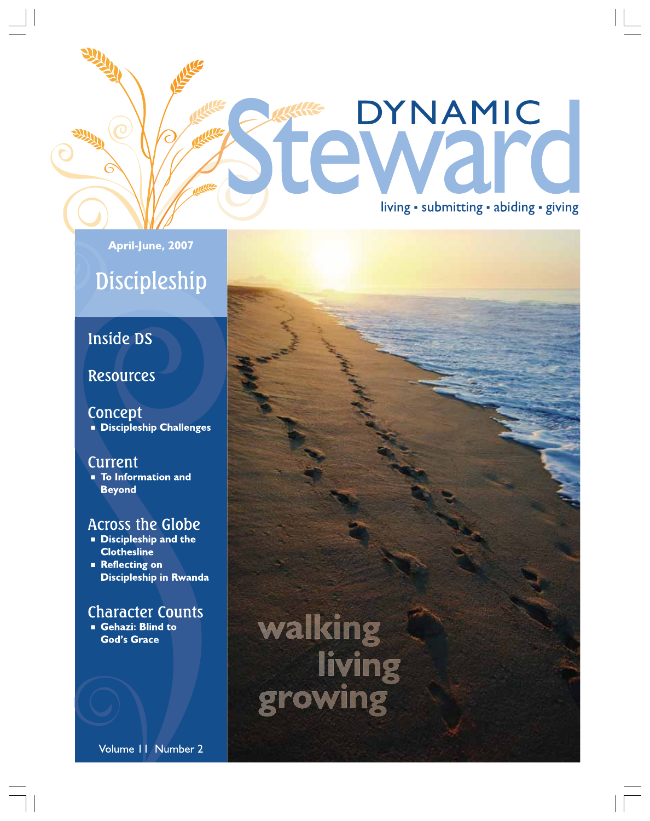### DYNAMIC **ULE** re living · submitting · abiding · giving

#### April-June, 2007

### Discipleship

### Inside DS

#### **Resources**

Concept **Discipleship Challenges** 

#### **Current**

**To Information and Beyond** 

#### **Across the Globe**

- Discipleship and the **Clothesline**
- **Reflecting on Discipleship in Rwanda**

### **Character Counts**

Gehazi: Blind to **God's Grace** 

walking<br>living<br>growing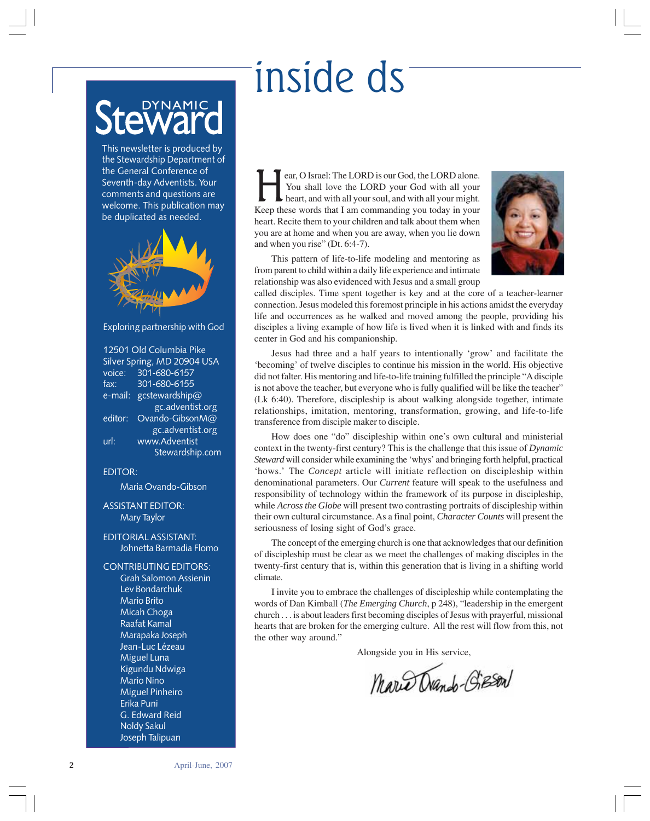# inside ds

# 'NAMIC

This newsletter is produced by the Stewardship Department of the General Conference of Seventh-day Adventists. Your comments and questions are welcome. This publication may be duplicated as needed.



#### Exploring partnership with God

12501 Old Columbia Pike Silver Spring, MD 20904 USA voice: 301-680-6157 fax: 301-680-6155 e-mail: gcstewardship@ gc.adventist.org editor: Ovando-GibsonM@ gc.adventist.org url: www.Adventist Stewardship.com

#### EDITOR:

Maria Ovando-Gibson

#### ASSISTANT EDITOR: Mary Taylor

#### EDITORIAL ASSISTANT: Johnetta Barmadia Flomo

CONTRIBUTING EDITORS: Grah Salomon Assienin Lev Bondarchuk Mario Brito Micah Choga Raafat Kamal Marapaka Joseph Jean-Luc Lézeau Miguel Luna Kigundu Ndwiga Mario Nino Miguel Pinheiro Erika Puni G. Edward Reid Noldy Sakul Joseph Talipuan

Fear, O Israel: The LORD is our God, the LORD alone.<br>
You shall love the LORD your God with all your heart, and with all your soul, and with all your might.<br>
Keep these words that I am commanding you today in your You shall love the LORD your God with all your Keep these words that I am commanding you today in your heart. Recite them to your children and talk about them when you are at home and when you are away, when you lie down and when you rise" (Dt. 6:4-7).



This pattern of life-to-life modeling and mentoring as from parent to child within a daily life experience and intimate relationship was also evidenced with Jesus and a small group

called disciples. Time spent together is key and at the core of a teacher-learner connection. Jesus modeled this foremost principle in his actions amidst the everyday life and occurrences as he walked and moved among the people, providing his disciples a living example of how life is lived when it is linked with and finds its center in God and his companionship.

Jesus had three and a half years to intentionally 'grow' and facilitate the 'becoming' of twelve disciples to continue his mission in the world. His objective did not falter. His mentoring and life-to-life training fulfilled the principle "A disciple is not above the teacher, but everyone who is fully qualified will be like the teacher" (Lk 6:40). Therefore, discipleship is about walking alongside together, intimate relationships, imitation, mentoring, transformation, growing, and life-to-life transference from disciple maker to disciple.

How does one "do" discipleship within one's own cultural and ministerial context in the twenty-first century? This is the challenge that this issue of *Dynamic Steward* will consider while examining the 'whys' and bringing forth helpful, practical 'hows.' The *Concept* article will initiate reflection on discipleship within denominational parameters. Our *Current* feature will speak to the usefulness and responsibility of technology within the framework of its purpose in discipleship, while *Across the Globe* will present two contrasting portraits of discipleship within their own cultural circumstance. As a final point, *Character Counts* will present the seriousness of losing sight of God's grace.

The concept of the emerging church is one that acknowledges that our definition of discipleship must be clear as we meet the challenges of making disciples in the twenty-first century that is, within this generation that is living in a shifting world climate.

I invite you to embrace the challenges of discipleship while contemplating the words of Dan Kimball (*The Emerging Church*, p 248), "leadership in the emergent church . . . is about leaders first becoming disciples of Jesus with prayerful, missional hearts that are broken for the emerging culture. All the rest will flow from this, not the other way around."

Alongside you in His service,

Mario Drando-Gieson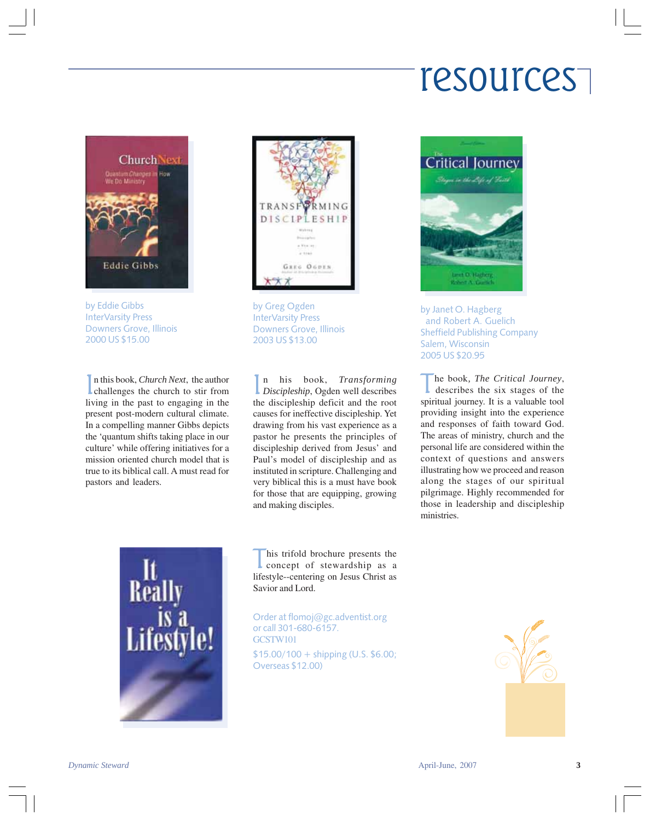## resources



by Eddie Gibbs InterVarsity Press Downers Grove, Illinois 2000 US \$15.00

In this book, *Church Next*, the author<br>challenges the church to stir from n this book, *Church Next*, the author living in the past to engaging in the present post-modern cultural climate. In a compelling manner Gibbs depicts the 'quantum shifts taking place in our culture' while offering initiatives for a mission oriented church model that is true to its biblical call. A must read for pastors and leaders.



by Greg Ogden InterVarsity Press Downers Grove, Illinois 2003 US \$13.00

In his book, *Transforming*<br>Discipleship, Ogden well describes n his book, *Transforming* the discipleship deficit and the root causes for ineffective discipleship. Yet drawing from his vast experience as a pastor he presents the principles of discipleship derived from Jesus' and Paul's model of discipleship and as instituted in scripture. Challenging and very biblical this is a must have book for those that are equipping, growing and making disciples.



his trifold brochure presents the concept of stewardship as a lifestyle--centering on Jesus Christ as Savior and Lord.

Order at flomoj@gc.adventist.org or call 301-680-6157. GCSTW101

\$15.00/100 + shipping (U.S. \$6.00; Overseas \$12.00)



by Janet O. Hagberg and Robert A. Guelich Sheffield Publishing Company Salem, Wisconsin 2005 US \$20.95

he book, The Critical Journey, describes the six stages of the spiritual journey. It is a valuable tool providing insight into the experience and responses of faith toward God. The areas of ministry, church and the personal life are considered within the context of questions and answers illustrating how we proceed and reason along the stages of our spiritual pilgrimage. Highly recommended for those in leadership and discipleship ministries.

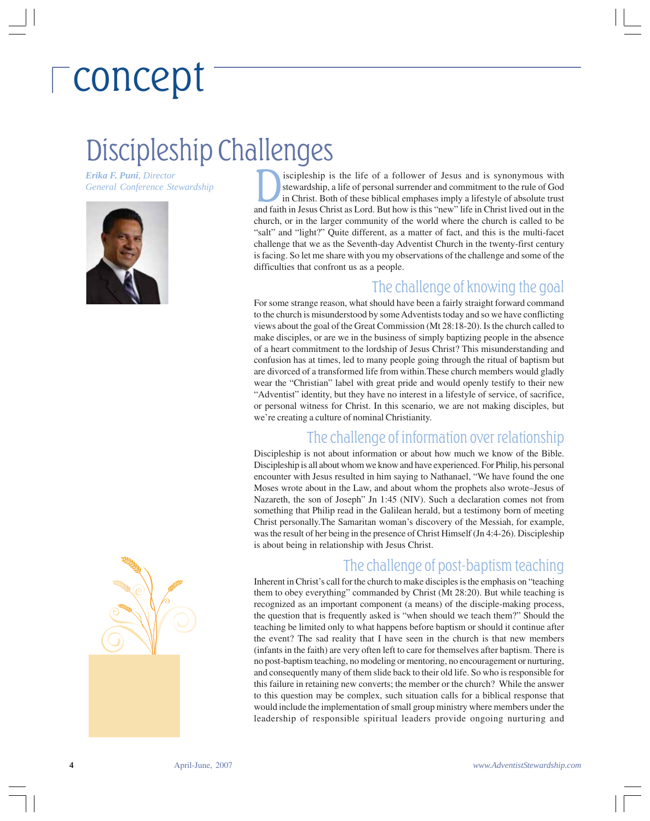# concept

### Discipleship Challenges

*Erika F. Puni, Director General Conference Stewardship*



The challenge of information over relationship Discipleship is not about information or about how much we know of the Bible. Discipleship is all about whom we know and have experienced. For Philip, his personal encounter with Jesus resulted in him saying to Nathanael, "We have found the one Moses wrote about in the Law, and about whom the prophets also wrote–Jesus of Nazareth, the son of Joseph" Jn 1:45 (NIV). Such a declaration comes not from something that Philip read in the Galilean herald, but a testimony born of meeting Christ personally.The Samaritan woman's discovery of the Messiah, for example, was the result of her being in the presence of Christ Himself (Jn 4:4-26). Discipleship is about being in relationship with Jesus Christ. The challenge of post-baptism teaching Inherent in Christ's call for the church to make disciples is the emphasis on "teaching

we're creating a culture of nominal Christianity.

difficulties that confront us as a people.

them to obey everything" commanded by Christ (Mt 28:20). But while teaching is recognized as an important component (a means) of the disciple-making process, the question that is frequently asked is "when should we teach them?" Should the teaching be limited only to what happens before baptism or should it continue after the event? The sad reality that I have seen in the church is that new members (infants in the faith) are very often left to care for themselves after baptism. There is no post-baptism teaching, no modeling or mentoring, no encouragement or nurturing, and consequently many of them slide back to their old life. So who is responsible for this failure in retaining new converts; the member or the church? While the answer to this question may be complex, such situation calls for a biblical response that would include the implementation of small group ministry where members under the leadership of responsible spiritual leaders provide ongoing nurturing and

iscipleship is the life of a follower of Jesus and is synonymous with stewardship, a life of personal surrender and commitment to the rule of God in Christ. Both of these biblical emphases imply a lifestyle of absolute trust and faith in Jesus Christ as Lord. But how is this "new" life in Christ lived out in the church, or in the larger community of the world where the church is called to be "salt" and "light?" Quite different, as a matter of fact, and this is the multi-facet challenge that we as the Seventh-day Adventist Church in the twenty-first century is facing. So let me share with you my observations of the challenge and some of the

For some strange reason, what should have been a fairly straight forward command to the church is misunderstood by some Adventists today and so we have conflicting views about the goal of the Great Commission (Mt 28:18-20). Is the church called to make disciples, or are we in the business of simply baptizing people in the absence of a heart commitment to the lordship of Jesus Christ? This misunderstanding and confusion has at times, led to many people going through the ritual of baptism but are divorced of a transformed life from within.These church members would gladly wear the "Christian" label with great pride and would openly testify to their new "Adventist" identity, but they have no interest in a lifestyle of service, of sacrifice, or personal witness for Christ. In this scenario, we are not making disciples, but

The challenge of knowing the goal

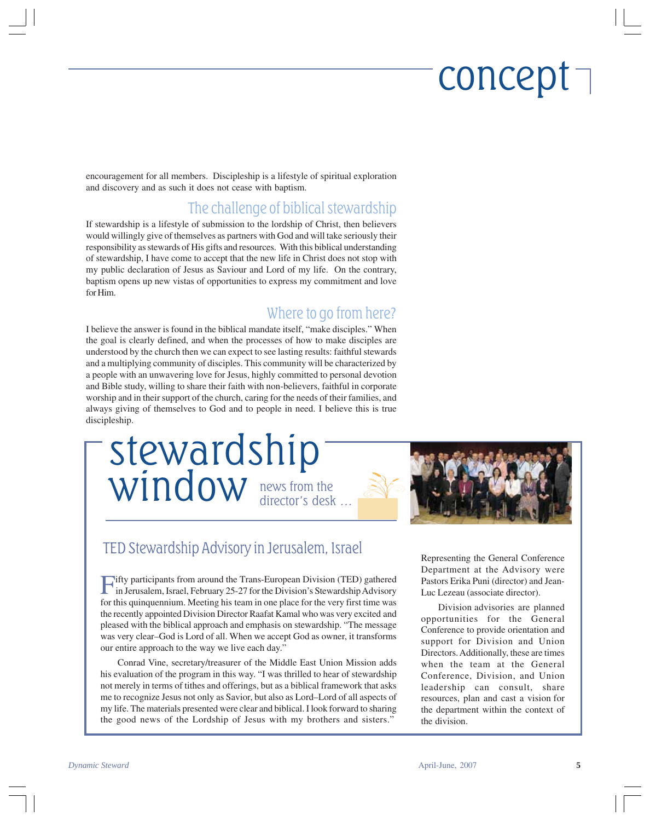## concept

encouragement for all members. Discipleship is a lifestyle of spiritual exploration and discovery and as such it does not cease with baptism.

### The challenge of biblical stewardship

If stewardship is a lifestyle of submission to the lordship of Christ, then believers would willingly give of themselves as partners with God and will take seriously their responsibility as stewards of His gifts and resources. With this biblical understanding of stewardship, I have come to accept that the new life in Christ does not stop with my public declaration of Jesus as Saviour and Lord of my life. On the contrary, baptism opens up new vistas of opportunities to express my commitment and love for Him.

#### Where to go from here?

I believe the answer is found in the biblical mandate itself, "make disciples." When the goal is clearly defined, and when the processes of how to make disciples are understood by the church then we can expect to see lasting results: faithful stewards and a multiplying community of disciples. This community will be characterized by a people with an unwavering love for Jesus, highly committed to personal devotion and Bible study, willing to share their faith with non-believers, faithful in corporate worship and in their support of the church, caring for the needs of their families, and always giving of themselves to God and to people in need. I believe this is true discipleship.

news from the director's desk … stewardship window



#### TED Stewardship Advisory in Jerusalem, Israel

Fifty participants from around the Trans-European Division (TED) gathered in Jerusalem, Israel, February 25-27 for the Division's Stewardship Advisory for this quinquennium. Meeting his team in one place for the very first time was the recently appointed Division Director Raafat Kamal who was very excited and pleased with the biblical approach and emphasis on stewardship. "The message was very clear–God is Lord of all. When we accept God as owner, it transforms our entire approach to the way we live each day."

Conrad Vine, secretary/treasurer of the Middle East Union Mission adds his evaluation of the program in this way. "I was thrilled to hear of stewardship not merely in terms of tithes and offerings, but as a biblical framework that asks me to recognize Jesus not only as Savior, but also as Lord–Lord of all aspects of my life. The materials presented were clear and biblical. I look forward to sharing the good news of the Lordship of Jesus with my brothers and sisters."

Representing the General Conference Department at the Advisory were Pastors Erika Puni (director) and Jean-Luc Lezeau (associate director).

Division advisories are planned opportunities for the General Conference to provide orientation and support for Division and Union Directors. Additionally, these are times when the team at the General Conference, Division, and Union leadership can consult, share resources, plan and cast a vision for the department within the context of the division.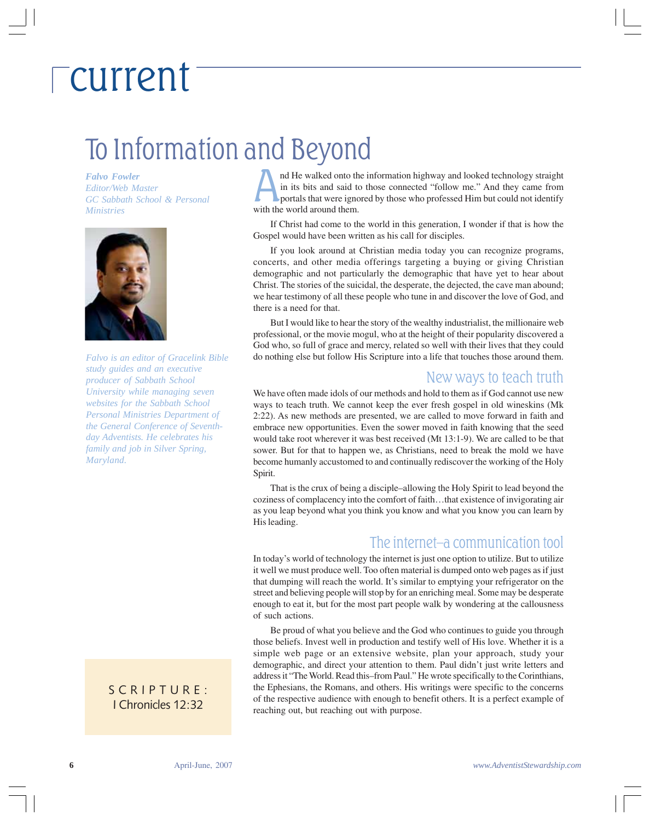## current

### To Information and Beyond

*Falvo Fowler Editor/Web Master GC Sabbath School & Personal Ministries*



*Falvo is an editor of Gracelink Bible study guides and an executive producer of Sabbath School University while managing seven websites for the Sabbath School Personal Ministries Department of the General Conference of Seventhday Adventists. He celebrates his family and job in Silver Spring, Maryland.*

#### SCRIPTURE: I Chronicles 12:32

nd He walked onto the information highway and looked technology straight in its bits and said to those connected "follow me." And they came from portals that were ignored by those who professed Him but could not identify with the world around them.

If Christ had come to the world in this generation, I wonder if that is how the Gospel would have been written as his call for disciples.

If you look around at Christian media today you can recognize programs, concerts, and other media offerings targeting a buying or giving Christian demographic and not particularly the demographic that have yet to hear about Christ. The stories of the suicidal, the desperate, the dejected, the cave man abound; we hear testimony of all these people who tune in and discover the love of God, and there is a need for that.

But I would like to hear the story of the wealthy industrialist, the millionaire web professional, or the movie mogul, who at the height of their popularity discovered a God who, so full of grace and mercy, related so well with their lives that they could do nothing else but follow His Scripture into a life that touches those around them.

#### New ways to teach truth

We have often made idols of our methods and hold to them as if God cannot use new ways to teach truth. We cannot keep the ever fresh gospel in old wineskins (Mk 2:22). As new methods are presented, we are called to move forward in faith and embrace new opportunities. Even the sower moved in faith knowing that the seed would take root wherever it was best received (Mt 13:1-9). We are called to be that sower. But for that to happen we, as Christians, need to break the mold we have become humanly accustomed to and continually rediscover the working of the Holy Spirit.

That is the crux of being a disciple–allowing the Holy Spirit to lead beyond the coziness of complacency into the comfort of faith…that existence of invigorating air as you leap beyond what you think you know and what you know you can learn by His leading.

#### The internet–a communication tool

In today's world of technology the internet is just one option to utilize. But to utilize it well we must produce well. Too often material is dumped onto web pages as if just that dumping will reach the world. It's similar to emptying your refrigerator on the street and believing people will stop by for an enriching meal. Some may be desperate enough to eat it, but for the most part people walk by wondering at the callousness of such actions.

Be proud of what you believe and the God who continues to guide you through those beliefs. Invest well in production and testify well of His love. Whether it is a simple web page or an extensive website, plan your approach, study your demographic, and direct your attention to them. Paul didn't just write letters and address it "The World. Read this–from Paul." He wrote specifically to the Corinthians, the Ephesians, the Romans, and others. His writings were specific to the concerns of the respective audience with enough to benefit others. It is a perfect example of reaching out, but reaching out with purpose.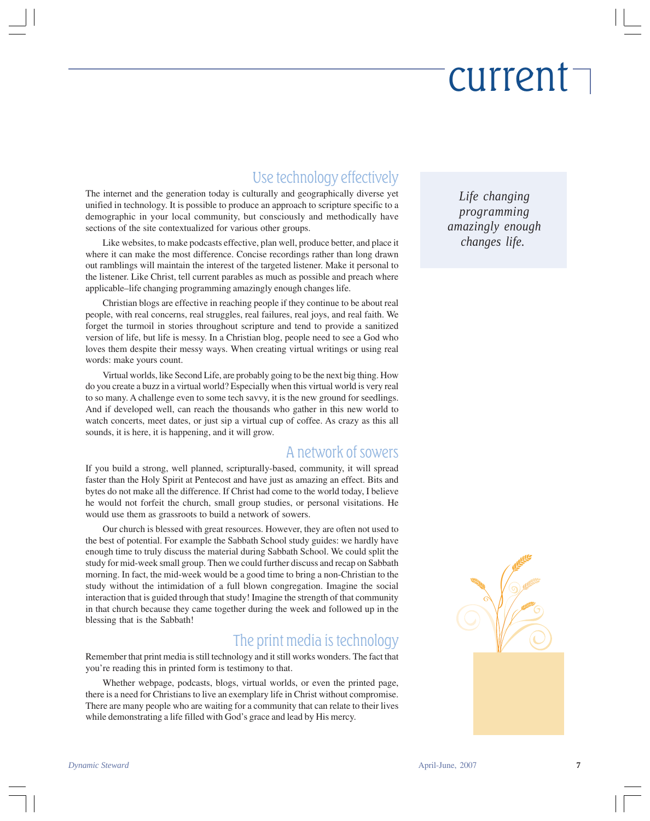# current

### Use technology effectively

The internet and the generation today is culturally and geographically diverse yet unified in technology. It is possible to produce an approach to scripture specific to a demographic in your local community, but consciously and methodically have sections of the site contextualized for various other groups.

Like websites, to make podcasts effective, plan well, produce better, and place it where it can make the most difference. Concise recordings rather than long drawn out ramblings will maintain the interest of the targeted listener. Make it personal to the listener. Like Christ, tell current parables as much as possible and preach where applicable–life changing programming amazingly enough changes life.

Christian blogs are effective in reaching people if they continue to be about real people, with real concerns, real struggles, real failures, real joys, and real faith. We forget the turmoil in stories throughout scripture and tend to provide a sanitized version of life, but life is messy. In a Christian blog, people need to see a God who loves them despite their messy ways. When creating virtual writings or using real words: make yours count.

Virtual worlds, like Second Life, are probably going to be the next big thing. How do you create a buzz in a virtual world? Especially when this virtual world is very real to so many. A challenge even to some tech savvy, it is the new ground for seedlings. And if developed well, can reach the thousands who gather in this new world to watch concerts, meet dates, or just sip a virtual cup of coffee. As crazy as this all sounds, it is here, it is happening, and it will grow.

### A network of sowers

If you build a strong, well planned, scripturally-based, community, it will spread faster than the Holy Spirit at Pentecost and have just as amazing an effect. Bits and bytes do not make all the difference. If Christ had come to the world today, I believe he would not forfeit the church, small group studies, or personal visitations. He would use them as grassroots to build a network of sowers.

Our church is blessed with great resources. However, they are often not used to the best of potential. For example the Sabbath School study guides: we hardly have enough time to truly discuss the material during Sabbath School. We could split the study for mid-week small group. Then we could further discuss and recap on Sabbath morning. In fact, the mid-week would be a good time to bring a non-Christian to the study without the intimidation of a full blown congregation. Imagine the social interaction that is guided through that study! Imagine the strength of that community in that church because they came together during the week and followed up in the blessing that is the Sabbath!

### The print media is technology

Remember that print media is still technology and it still works wonders. The fact that you're reading this in printed form is testimony to that.

Whether webpage, podcasts, blogs, virtual worlds, or even the printed page, there is a need for Christians to live an exemplary life in Christ without compromise. There are many people who are waiting for a community that can relate to their lives while demonstrating a life filled with God's grace and lead by His mercy.

*Life changing programming amazingly enough changes life.* 

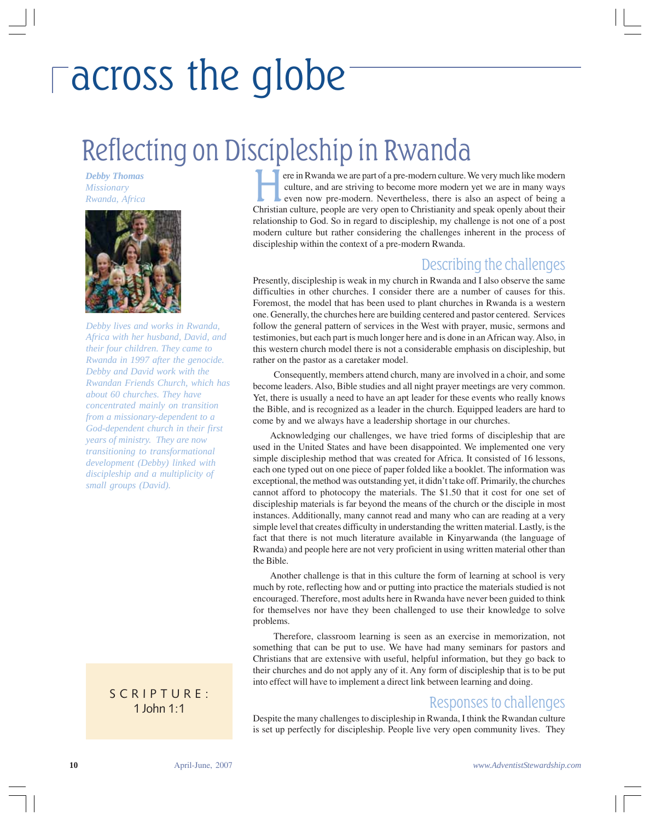# across the globe

### Reflecting on Discipleship in Rwanda

*Debby Thomas Missionary*



*Debby lives and works in Rwanda, Africa with her husband, David, and their four children. They came to Rwanda in 1997 after the genocide. Debby and David work with the Rwandan Friends Church, which has about 60 churches. They have concentrated mainly on transition from a missionary-dependent to a God-dependent church in their first years of ministry. They are now transitioning to transformational development (Debby) linked with discipleship and a multiplicity of small groups (David).*

#### 2 Kings 8:5 1 John 1:1 SCRIPTURE:

*Rebby Thomas*<br>*Rwanda, Africa* exercise the strain Rwanda we are part of a pre-modern culture. We very much like modern<br>*Rwanda, Africa* even now pre-modern. Nevertheless, there is also an aspect of being a culture, and are striving to become more modern yet we are in many ways even now pre-modern. Nevertheless, there is also an aspect of being a Christian culture, people are very open to Christianity and speak openly about their relationship to God. So in regard to discipleship, my challenge is not one of a post modern culture but rather considering the challenges inherent in the process of discipleship within the context of a pre-modern Rwanda.

#### Describing the challenges

Presently, discipleship is weak in my church in Rwanda and I also observe the same difficulties in other churches. I consider there are a number of causes for this. Foremost, the model that has been used to plant churches in Rwanda is a western one. Generally, the churches here are building centered and pastor centered. Services follow the general pattern of services in the West with prayer, music, sermons and testimonies, but each part is much longer here and is done in an African way. Also, in this western church model there is not a considerable emphasis on discipleship, but rather on the pastor as a caretaker model.

 Consequently, members attend church, many are involved in a choir, and some become leaders. Also, Bible studies and all night prayer meetings are very common. Yet, there is usually a need to have an apt leader for these events who really knows the Bible, and is recognized as a leader in the church. Equipped leaders are hard to come by and we always have a leadership shortage in our churches.

Acknowledging our challenges, we have tried forms of discipleship that are used in the United States and have been disappointed. We implemented one very simple discipleship method that was created for Africa. It consisted of 16 lessons, each one typed out on one piece of paper folded like a booklet. The information was exceptional, the method was outstanding yet, it didn't take off. Primarily, the churches cannot afford to photocopy the materials. The \$1.50 that it cost for one set of discipleship materials is far beyond the means of the church or the disciple in most instances. Additionally, many cannot read and many who can are reading at a very simple level that creates difficulty in understanding the written material. Lastly, is the fact that there is not much literature available in Kinyarwanda (the language of Rwanda) and people here are not very proficient in using written material other than the Bible.

Another challenge is that in this culture the form of learning at school is very much by rote, reflecting how and or putting into practice the materials studied is not encouraged. Therefore, most adults here in Rwanda have never been guided to think for themselves nor have they been challenged to use their knowledge to solve problems.

 Therefore, classroom learning is seen as an exercise in memorization, not something that can be put to use. We have had many seminars for pastors and Christians that are extensive with useful, helpful information, but they go back to their churches and do not apply any of it. Any form of discipleship that is to be put into effect will have to implement a direct link between learning and doing.

#### Responses to challenges

Despite the many challenges to discipleship in Rwanda, I think the Rwandan culture is set up perfectly for discipleship. People live very open community lives. They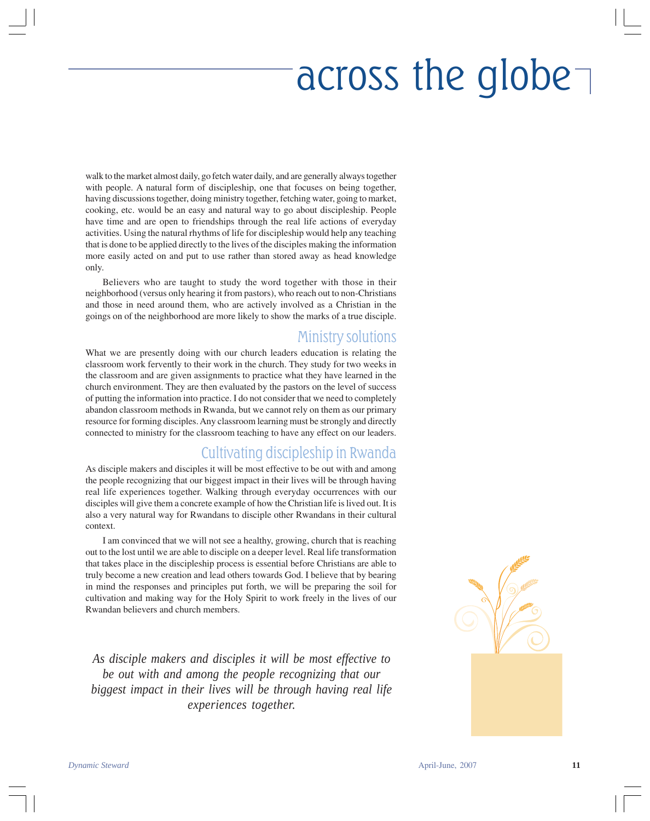# across the globe

walk to the market almost daily, go fetch water daily, and are generally always together with people. A natural form of discipleship, one that focuses on being together, having discussions together, doing ministry together, fetching water, going to market, cooking, etc. would be an easy and natural way to go about discipleship. People have time and are open to friendships through the real life actions of everyday activities. Using the natural rhythms of life for discipleship would help any teaching that is done to be applied directly to the lives of the disciples making the information more easily acted on and put to use rather than stored away as head knowledge only.

Believers who are taught to study the word together with those in their neighborhood (versus only hearing it from pastors), who reach out to non-Christians and those in need around them, who are actively involved as a Christian in the goings on of the neighborhood are more likely to show the marks of a true disciple.

#### Ministry solutions

What we are presently doing with our church leaders education is relating the classroom work fervently to their work in the church. They study for two weeks in the classroom and are given assignments to practice what they have learned in the church environment. They are then evaluated by the pastors on the level of success of putting the information into practice. I do not consider that we need to completely abandon classroom methods in Rwanda, but we cannot rely on them as our primary resource for forming disciples. Any classroom learning must be strongly and directly connected to ministry for the classroom teaching to have any effect on our leaders.

#### Cultivating discipleship in Rwanda

As disciple makers and disciples it will be most effective to be out with and among the people recognizing that our biggest impact in their lives will be through having real life experiences together. Walking through everyday occurrences with our disciples will give them a concrete example of how the Christian life is lived out. It is also a very natural way for Rwandans to disciple other Rwandans in their cultural context.

I am convinced that we will not see a healthy, growing, church that is reaching out to the lost until we are able to disciple on a deeper level. Real life transformation that takes place in the discipleship process is essential before Christians are able to truly become a new creation and lead others towards God. I believe that by bearing in mind the responses and principles put forth, we will be preparing the soil for cultivation and making way for the Holy Spirit to work freely in the lives of our Rwandan believers and church members.

*As disciple makers and disciples it will be most effective to be out with and among the people recognizing that our biggest impact in their lives will be through having real life experiences together.*

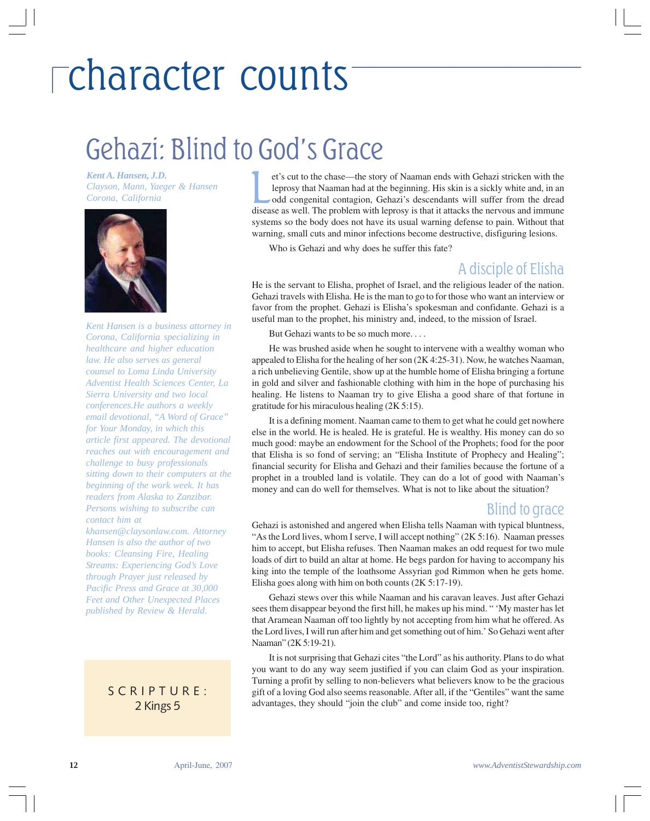### Gehazi: Blind to God's Grace

*Kent A. Hansen, J.D. Clayson, Mann, Yaeger & Hansen Clayson, Mann, Yaeger & Hansen*<br>*Corona, California* **Lansen**<br>*Corona, California* 



*Kent Hansen is a business attorney in Corona, California specializing in healthcare and higher education law. He also serves as general counsel to Loma Linda University Adventist Health Sciences Center, La Sierra University and two local conferences.He authors a weekly email devotional, "A Word of Grace" for Your Monday, in which this article first appeared. The devotional reaches out with encouragement and challenge to busy professionals sitting down to their computers at the beginning of the work week. It has readers from Alaska to Zanzibar. Persons wishing to subscribe can contact him at*

*khansen@claysonlaw.com. Attorney Hansen is also the author of two books: Cleansing Fire, Healing Streams: Experiencing God's Love through Prayer just released by Pacific Press and Grace at 30,000 Feet and Other Unexpected Places published by Review & Herald.*

> SCRIPTURE: 2 Kings 5

et's cut to the chase—the story of Naaman ends with Gehazi stricken with the leprosy that Naaman had at the beginning. His skin is a sickly white and, in an odd congenital contagion, Gehazi's descendants will suffer from the dread et's cut to the chase—the story of Naaman ends with Gehazi stricken with the leprosy that Naaman had at the beginning. His skin is a sickly white and, in an odd congenital contagion, Gehazi's descendants will suffer from t systems so the body does not have its usual warning defense to pain. Without that warning, small cuts and minor infections become destructive, disfiguring lesions.

Who is Gehazi and why does he suffer this fate?

#### A disciple of Elisha

He is the servant to Elisha, prophet of Israel, and the religious leader of the nation. Gehazi travels with Elisha. He is the man to go to for those who want an interview or favor from the prophet. Gehazi is Elisha's spokesman and confidante. Gehazi is a useful man to the prophet, his ministry and, indeed, to the mission of Israel.

But Gehazi wants to be so much more. . . .

He was brushed aside when he sought to intervene with a wealthy woman who appealed to Elisha for the healing of her son (2K 4:25-31). Now, he watches Naaman, a rich unbelieving Gentile, show up at the humble home of Elisha bringing a fortune in gold and silver and fashionable clothing with him in the hope of purchasing his healing. He listens to Naaman try to give Elisha a good share of that fortune in gratitude for his miraculous healing (2K 5:15).

It is a defining moment. Naaman came to them to get what he could get nowhere else in the world. He is healed. He is grateful. He is wealthy. His money can do so much good: maybe an endowment for the School of the Prophets; food for the poor that Elisha is so fond of serving; an "Elisha Institute of Prophecy and Healing"; financial security for Elisha and Gehazi and their families because the fortune of a prophet in a troubled land is volatile. They can do a lot of good with Naaman's money and can do well for themselves. What is not to like about the situation?

#### Blind to grace

Gehazi is astonished and angered when Elisha tells Naaman with typical bluntness, "As the Lord lives, whom I serve, I will accept nothing" (2K 5:16). Naaman presses him to accept, but Elisha refuses. Then Naaman makes an odd request for two mule loads of dirt to build an altar at home. He begs pardon for having to accompany his king into the temple of the loathsome Assyrian god Rimmon when he gets home. Elisha goes along with him on both counts (2K 5:17-19).

Gehazi stews over this while Naaman and his caravan leaves. Just after Gehazi sees them disappear beyond the first hill, he makes up his mind. " 'My master has let that Aramean Naaman off too lightly by not accepting from him what he offered. As the Lord lives, I will run after him and get something out of him.' So Gehazi went after Naaman" (2K 5:19-21).

It is not surprising that Gehazi cites "the Lord" as his authority. Plans to do what you want to do any way seem justified if you can claim God as your inspiration. Turning a profit by selling to non-believers what believers know to be the gracious gift of a loving God also seems reasonable. After all, if the "Gentiles" want the same advantages, they should "join the club" and come inside too, right?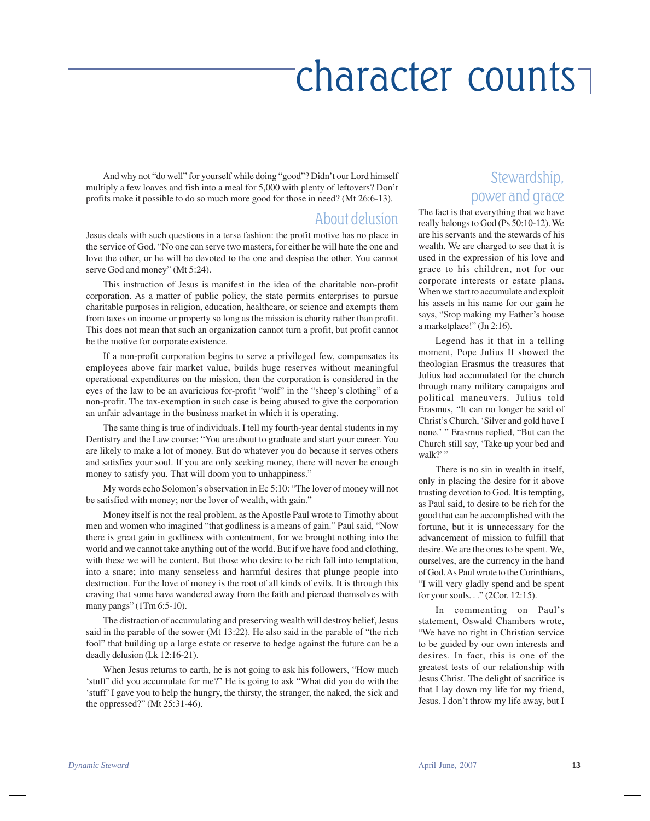And why not "do well" for yourself while doing "good"? Didn't our Lord himself multiply a few loaves and fish into a meal for 5,000 with plenty of leftovers? Don't profits make it possible to do so much more good for those in need? (Mt 26:6-13).

#### About delusion

Jesus deals with such questions in a terse fashion: the profit motive has no place in the service of God. "No one can serve two masters, for either he will hate the one and love the other, or he will be devoted to the one and despise the other. You cannot serve God and money" (Mt 5:24).

This instruction of Jesus is manifest in the idea of the charitable non-profit corporation. As a matter of public policy, the state permits enterprises to pursue charitable purposes in religion, education, healthcare, or science and exempts them from taxes on income or property so long as the mission is charity rather than profit. This does not mean that such an organization cannot turn a profit, but profit cannot be the motive for corporate existence.

If a non-profit corporation begins to serve a privileged few, compensates its employees above fair market value, builds huge reserves without meaningful operational expenditures on the mission, then the corporation is considered in the eyes of the law to be an avaricious for-profit "wolf" in the "sheep's clothing" of a non-profit. The tax-exemption in such case is being abused to give the corporation an unfair advantage in the business market in which it is operating.

The same thing is true of individuals. I tell my fourth-year dental students in my Dentistry and the Law course: "You are about to graduate and start your career. You are likely to make a lot of money. But do whatever you do because it serves others and satisfies your soul. If you are only seeking money, there will never be enough money to satisfy you. That will doom you to unhappiness."

My words echo Solomon's observation in Ec 5:10: "The lover of money will not be satisfied with money; nor the lover of wealth, with gain."

Money itself is not the real problem, as the Apostle Paul wrote to Timothy about men and women who imagined "that godliness is a means of gain." Paul said, "Now there is great gain in godliness with contentment, for we brought nothing into the world and we cannot take anything out of the world. But if we have food and clothing, with these we will be content. But those who desire to be rich fall into temptation, into a snare; into many senseless and harmful desires that plunge people into destruction. For the love of money is the root of all kinds of evils. It is through this craving that some have wandered away from the faith and pierced themselves with many pangs" (1Tm 6:5-10).

The distraction of accumulating and preserving wealth will destroy belief, Jesus said in the parable of the sower (Mt 13:22). He also said in the parable of "the rich fool" that building up a large estate or reserve to hedge against the future can be a deadly delusion (Lk 12:16-21).

When Jesus returns to earth, he is not going to ask his followers, "How much 'stuff' did you accumulate for me?" He is going to ask "What did you do with the 'stuff' I gave you to help the hungry, the thirsty, the stranger, the naked, the sick and the oppressed?" (Mt 25:31-46).

### Stewardship, power and grace

The fact is that everything that we have really belongs to God (Ps 50:10-12). We are his servants and the stewards of his wealth. We are charged to see that it is used in the expression of his love and grace to his children, not for our corporate interests or estate plans. When we start to accumulate and exploit his assets in his name for our gain he says, "Stop making my Father's house a marketplace!" (Jn 2:16).

Legend has it that in a telling moment, Pope Julius II showed the theologian Erasmus the treasures that Julius had accumulated for the church through many military campaigns and political maneuvers. Julius told Erasmus, "It can no longer be said of Christ's Church, 'Silver and gold have I none.' " Erasmus replied, "But can the Church still say, 'Take up your bed and walk?"

There is no sin in wealth in itself, only in placing the desire for it above trusting devotion to God. It is tempting, as Paul said, to desire to be rich for the good that can be accomplished with the fortune, but it is unnecessary for the advancement of mission to fulfill that desire. We are the ones to be spent. We, ourselves, are the currency in the hand of God. As Paul wrote to the Corinthians, "I will very gladly spend and be spent for your souls. . ." (2Cor. 12:15).

In commenting on Paul's statement, Oswald Chambers wrote, "We have no right in Christian service to be guided by our own interests and desires. In fact, this is one of the greatest tests of our relationship with Jesus Christ. The delight of sacrifice is that I lay down my life for my friend, Jesus. I don't throw my life away, but I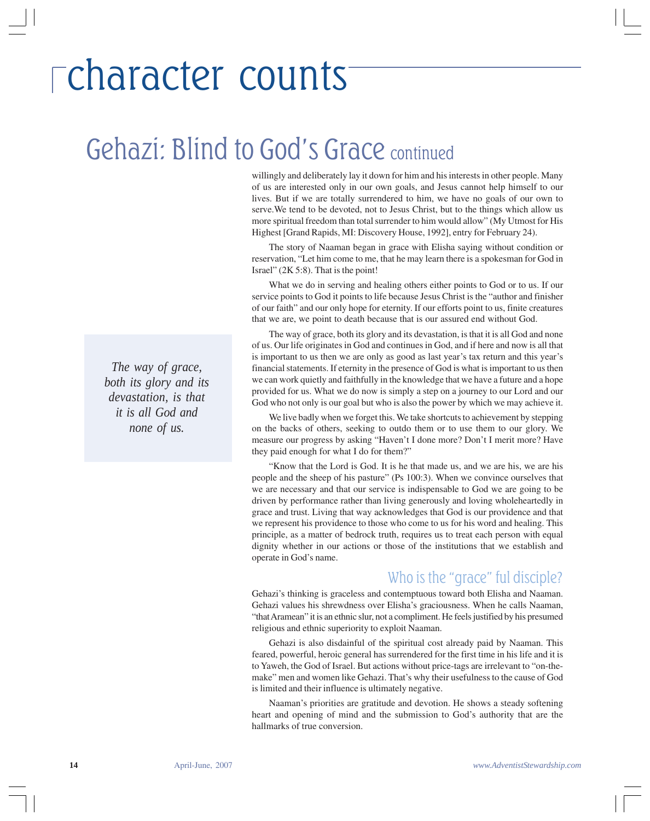### Gehazi: Blind to God's Grace continued

willingly and deliberately lay it down for him and his interests in other people. Many of us are interested only in our own goals, and Jesus cannot help himself to our lives. But if we are totally surrendered to him, we have no goals of our own to serve.We tend to be devoted, not to Jesus Christ, but to the things which allow us more spiritual freedom than total surrender to him would allow" (My Utmost for His Highest [Grand Rapids, MI: Discovery House, 1992], entry for February 24).

The story of Naaman began in grace with Elisha saying without condition or reservation, "Let him come to me, that he may learn there is a spokesman for God in Israel" (2K 5:8). That is the point!

What we do in serving and healing others either points to God or to us. If our service points to God it points to life because Jesus Christ is the "author and finisher of our faith" and our only hope for eternity. If our efforts point to us, finite creatures that we are, we point to death because that is our assured end without God.

The way of grace, both its glory and its devastation, is that it is all God and none of us. Our life originates in God and continues in God, and if here and now is all that is important to us then we are only as good as last year's tax return and this year's financial statements. If eternity in the presence of God is what is important to us then we can work quietly and faithfully in the knowledge that we have a future and a hope provided for us. What we do now is simply a step on a journey to our Lord and our God who not only is our goal but who is also the power by which we may achieve it.

We live badly when we forget this. We take shortcuts to achievement by stepping on the backs of others, seeking to outdo them or to use them to our glory. We measure our progress by asking "Haven't I done more? Don't I merit more? Have they paid enough for what I do for them?"

"Know that the Lord is God. It is he that made us, and we are his, we are his people and the sheep of his pasture" (Ps 100:3). When we convince ourselves that we are necessary and that our service is indispensable to God we are going to be driven by performance rather than living generously and loving wholeheartedly in grace and trust. Living that way acknowledges that God is our providence and that we represent his providence to those who come to us for his word and healing. This principle, as a matter of bedrock truth, requires us to treat each person with equal dignity whether in our actions or those of the institutions that we establish and operate in God's name.

### Who is the "grace" ful disciple?

Gehazi's thinking is graceless and contemptuous toward both Elisha and Naaman. Gehazi values his shrewdness over Elisha's graciousness. When he calls Naaman, "that Aramean" it is an ethnic slur, not a compliment. He feels justified by his presumed religious and ethnic superiority to exploit Naaman.

Gehazi is also disdainful of the spiritual cost already paid by Naaman. This feared, powerful, heroic general has surrendered for the first time in his life and it is to Yaweh, the God of Israel. But actions without price-tags are irrelevant to "on-themake" men and women like Gehazi. That's why their usefulness to the cause of God is limited and their influence is ultimately negative.

Naaman's priorities are gratitude and devotion. He shows a steady softening heart and opening of mind and the submission to God's authority that are the hallmarks of true conversion.

*The way of grace, both its glory and its devastation, is that it is all God and none of us.*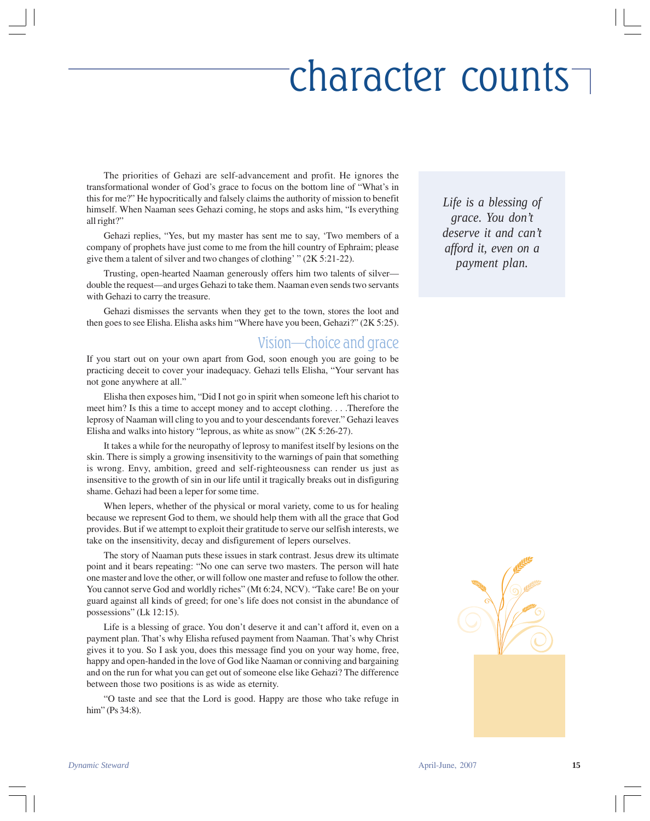The priorities of Gehazi are self-advancement and profit. He ignores the transformational wonder of God's grace to focus on the bottom line of "What's in this for me?" He hypocritically and falsely claims the authority of mission to benefit himself. When Naaman sees Gehazi coming, he stops and asks him, "Is everything all right?"

Gehazi replies, "Yes, but my master has sent me to say, 'Two members of a company of prophets have just come to me from the hill country of Ephraim; please give them a talent of silver and two changes of clothing' " (2K 5:21-22).

Trusting, open-hearted Naaman generously offers him two talents of silver double the request—and urges Gehazi to take them. Naaman even sends two servants with Gehazi to carry the treasure.

Gehazi dismisses the servants when they get to the town, stores the loot and then goes to see Elisha. Elisha asks him "Where have you been, Gehazi?" (2K 5:25).

#### Vision—choice and grace

If you start out on your own apart from God, soon enough you are going to be practicing deceit to cover your inadequacy. Gehazi tells Elisha, "Your servant has not gone anywhere at all."

Elisha then exposes him, "Did I not go in spirit when someone left his chariot to meet him? Is this a time to accept money and to accept clothing. . . .Therefore the leprosy of Naaman will cling to you and to your descendants forever." Gehazi leaves Elisha and walks into history "leprous, as white as snow" (2K 5:26-27).

It takes a while for the neuropathy of leprosy to manifest itself by lesions on the skin. There is simply a growing insensitivity to the warnings of pain that something is wrong. Envy, ambition, greed and self-righteousness can render us just as insensitive to the growth of sin in our life until it tragically breaks out in disfiguring shame. Gehazi had been a leper for some time.

When lepers, whether of the physical or moral variety, come to us for healing because we represent God to them, we should help them with all the grace that God provides. But if we attempt to exploit their gratitude to serve our selfish interests, we take on the insensitivity, decay and disfigurement of lepers ourselves.

The story of Naaman puts these issues in stark contrast. Jesus drew its ultimate point and it bears repeating: "No one can serve two masters. The person will hate one master and love the other, or will follow one master and refuse to follow the other. You cannot serve God and worldly riches" (Mt 6:24, NCV). "Take care! Be on your guard against all kinds of greed; for one's life does not consist in the abundance of possessions" (Lk 12:15).

Life is a blessing of grace. You don't deserve it and can't afford it, even on a payment plan. That's why Elisha refused payment from Naaman. That's why Christ gives it to you. So I ask you, does this message find you on your way home, free, happy and open-handed in the love of God like Naaman or conniving and bargaining and on the run for what you can get out of someone else like Gehazi? The difference between those two positions is as wide as eternity.

"O taste and see that the Lord is good. Happy are those who take refuge in him" (Ps 34:8).

*Life is a blessing of grace. You don't deserve it and can't afford it, even on a payment plan.*